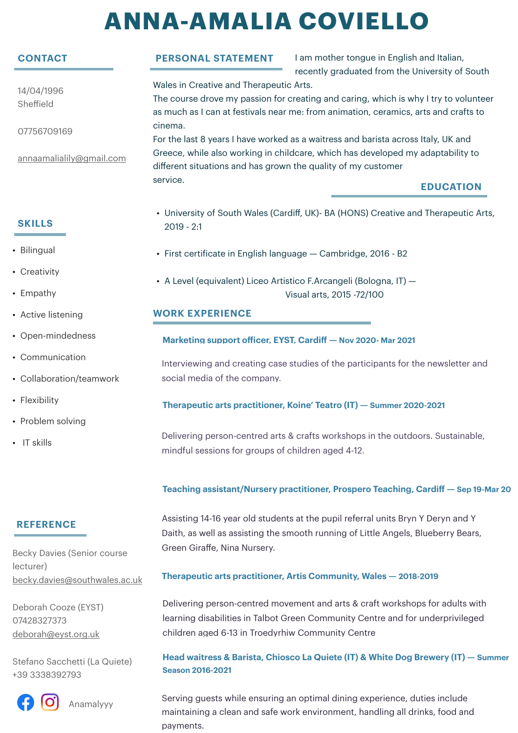# **ANNA-AMALIA COVIELLO**

# **CONTACT**

14/04/1996 Sheffield

07756709169

[annaamalialily@gmail.com](mailto:annaamalialily@gmail.com)

## **SKILLS**

- Bilingual
- Creativity
- Empathy
- Active listening
- Open-mindedness
- Communication
- Collaboration/teamwork
- Flexibility
- Problem solving
- IT skills

# **PERSONAL STATEMENT**

I am mother tongue in English and Italian, recently graduated from the University of South Wales in Creative and Therapeutic Arts.

The course drove my passion for creating and caring, which is why I try to volunteer as much as I can at festivals near me: from animation, ceramics, arts and crafts to cinema.

For the last 8 years I have worked as a waitress and barista across Italy, UK and Greece, while also working in childcare, which has developed my adaptability to different situations and has grown the quality of my customer service.

## **EDUCATION**

- University of South Wales (Cardiff, UK)- BA (HONS) Creative and Therapeutic Arts, 2019 - 2:1
- First certificate in English language Cambridge, 2016 B2
- A Level (equivalent) Liceo Artistico F.Arcangeli (Bologna, IT) Visual arts, 2015 -72/100

### **WORK EXPERIENCE**

#### **Marketing support officer, EYST, Cardiff — Nov 2020- Mar 2021**

Interviewing and creating case studies of the participants for the newsletter and social media of the company.

#### **Therapeutic arts practitioner, Koine' Teatro (IT) — Summer 2020-2021**

Delivering person-centred arts & crafts workshops in the outdoors. Sustainable, mindful sessions for groups of children aged 4-12.

#### **Teaching assistant/Nursery practitioner, Prospero Teaching, Cardiff — Sep 19-Mar 20**

## **REFERENCE**

Becky Davies (Senior course lecturer) [becky.davies@southwales.ac.uk](mailto:becky.davies@southwales.ac.uk)

Deborah Cooze (EYST) 07428327373 [deborah@eyst.org.uk](mailto:deborah@eyst.org.uk)

Stefano Sacchetti (La Quiete) +39 3338392793



Anamalyyy

Assisting 14-16 year old students at the pupil referral units Bryn Y Deryn and Y Daith, as well as assisting the smooth running of Little Angels, Blueberry Bears, Green Giraffe, Nina Nursery.

#### **Therapeutic arts practitioner, Artis Community, Wales — 2018-2019**

Delivering person-centred movement and arts & craft workshops for adults with learning disabilities in Talbot Green Community Centre and for underprivileged children aged 6-13 in Troedyrhiw Community Centre

#### **Head waitress & Barista, Chiosco La Quiete (IT) & White Dog Brewery (IT) — Summer Season 2016-2021**

Serving guests while ensuring an optimal dining experience, duties include maintaining a clean and safe work environment, handling all drinks, food and payments.